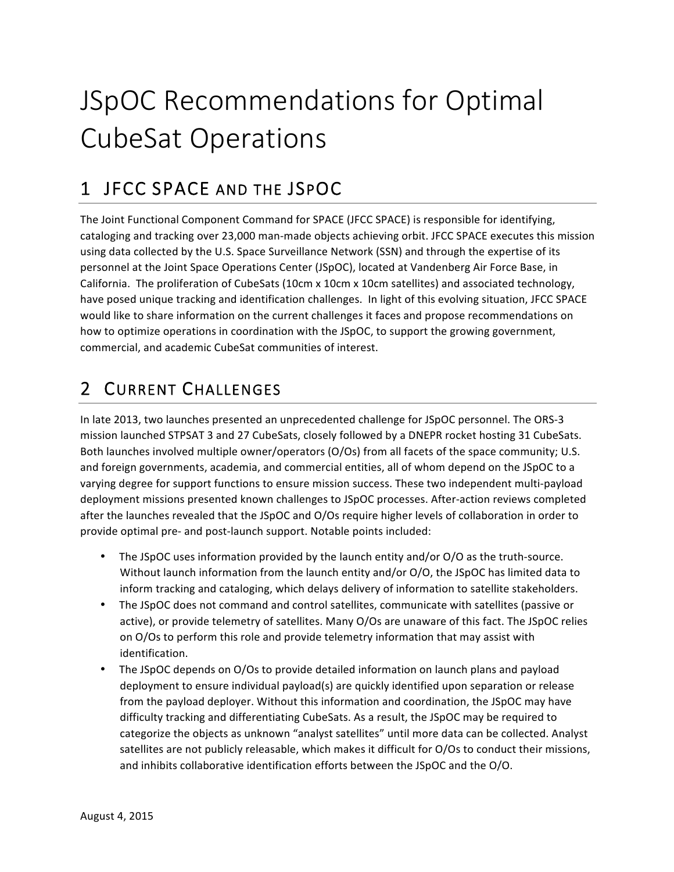# JSpOC Recommendations for Optimal CubeSat Operations

# 1 JFCC SPACE AND THE JSPOC

The Joint Functional Component Command for SPACE (JFCC SPACE) is responsible for identifying, cataloging and tracking over 23,000 man-made objects achieving orbit. JFCC SPACE executes this mission using data collected by the U.S. Space Surveillance Network (SSN) and through the expertise of its personnel at the Joint Space Operations Center (JSpOC), located at Vandenberg Air Force Base, in California. The proliferation of CubeSats (10cm x 10cm x 10cm satellites) and associated technology, have posed unique tracking and identification challenges. In light of this evolving situation, JFCC SPACE would like to share information on the current challenges it faces and propose recommendations on how to optimize operations in coordination with the JSpOC, to support the growing government, commercial, and academic CubeSat communities of interest.

## 2 CURRENT CHALLENGES

In late 2013, two launches presented an unprecedented challenge for JSpOC personnel. The ORS-3 mission launched STPSAT 3 and 27 CubeSats, closely followed by a DNEPR rocket hosting 31 CubeSats. Both launches involved multiple owner/operators (O/Os) from all facets of the space community; U.S. and foreign governments, academia, and commercial entities, all of whom depend on the JSpOC to a varying degree for support functions to ensure mission success. These two independent multi-payload deployment missions presented known challenges to JSpOC processes. After-action reviews completed after the launches revealed that the JSpOC and O/Os require higher levels of collaboration in order to provide optimal pre- and post-launch support. Notable points included:

- The JSpOC uses information provided by the launch entity and/or O/O as the truth-source. Without launch information from the launch entity and/or O/O, the JSpOC has limited data to inform tracking and cataloging, which delays delivery of information to satellite stakeholders.
- The JSpOC does not command and control satellites, communicate with satellites (passive or active), or provide telemetry of satellites. Many O/Os are unaware of this fact. The JSpOC relies on O/Os to perform this role and provide telemetry information that may assist with identification.
- The JSpOC depends on O/Os to provide detailed information on launch plans and payload deployment to ensure individual payload(s) are quickly identified upon separation or release from the payload deployer. Without this information and coordination, the JSpOC may have difficulty tracking and differentiating CubeSats. As a result, the JSpOC may be required to categorize the objects as unknown "analyst satellites" until more data can be collected. Analyst satellites are not publicly releasable, which makes it difficult for O/Os to conduct their missions, and inhibits collaborative identification efforts between the JSpOC and the O/O.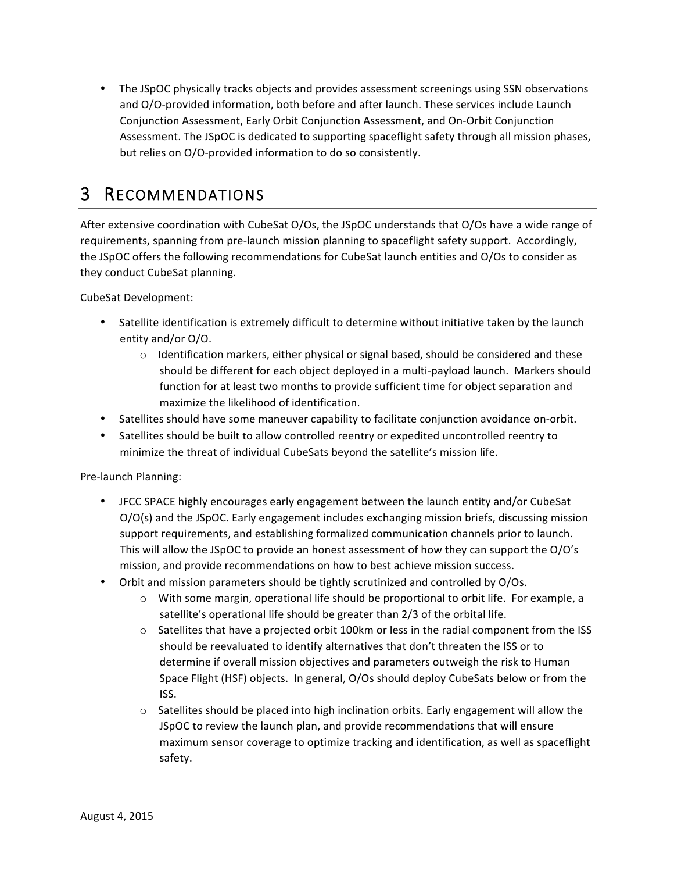• The JSpOC physically tracks objects and provides assessment screenings using SSN observations and O/O-provided information, both before and after launch. These services include Launch Conjunction Assessment, Early Orbit Conjunction Assessment, and On-Orbit Conjunction Assessment. The JSpOC is dedicated to supporting spaceflight safety through all mission phases, but relies on O/O-provided information to do so consistently.

### 3 RECOMMENDATIONS

After extensive coordination with CubeSat O/Os, the JSpOC understands that O/Os have a wide range of requirements, spanning from pre-launch mission planning to spaceflight safety support. Accordingly, the JSpOC offers the following recommendations for CubeSat launch entities and O/Os to consider as they conduct CubeSat planning.

CubeSat Development:

- Satellite identification is extremely difficult to determine without initiative taken by the launch entity and/or O/O.
	- $\circ$  Identification markers, either physical or signal based, should be considered and these should be different for each object deployed in a multi-payload launch. Markers should function for at least two months to provide sufficient time for object separation and maximize the likelihood of identification.
- Satellites should have some maneuver capability to facilitate conjunction avoidance on-orbit.
- Satellites should be built to allow controlled reentry or expedited uncontrolled reentry to minimize the threat of individual CubeSats beyond the satellite's mission life.

Pre-launch Planning:

- JFCC SPACE highly encourages early engagement between the launch entity and/or CubeSat  $O/O(s)$  and the JSpOC. Early engagement includes exchanging mission briefs, discussing mission support requirements, and establishing formalized communication channels prior to launch. This will allow the JSpOC to provide an honest assessment of how they can support the O/O's mission, and provide recommendations on how to best achieve mission success.
- Orbit and mission parameters should be tightly scrutinized and controlled by O/Os.
	- $\circ$  With some margin, operational life should be proportional to orbit life. For example, a satellite's operational life should be greater than 2/3 of the orbital life.
	- $\circ$  Satellites that have a projected orbit 100km or less in the radial component from the ISS should be reevaluated to identify alternatives that don't threaten the ISS or to determine if overall mission objectives and parameters outweigh the risk to Human Space Flight (HSF) objects. In general, O/Os should deploy CubeSats below or from the ISS.
	- $\circ$  Satellites should be placed into high inclination orbits. Early engagement will allow the JSpOC to review the launch plan, and provide recommendations that will ensure maximum sensor coverage to optimize tracking and identification, as well as spaceflight safety.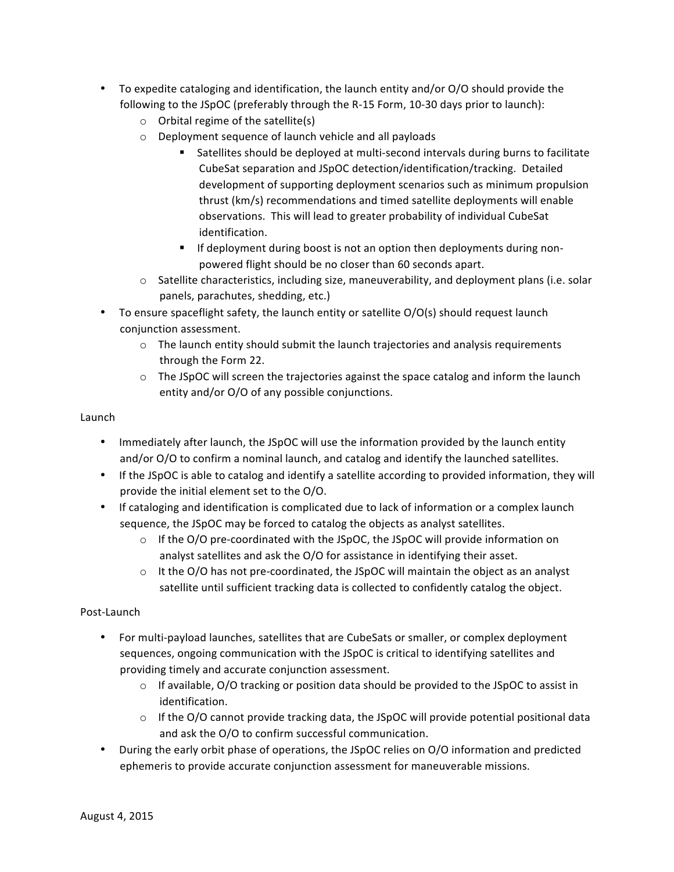- To expedite cataloging and identification, the launch entity and/or O/O should provide the following to the JSpOC (preferably through the R-15 Form, 10-30 days prior to launch):
	- $\circ$  Orbital regime of the satellite(s)
	- $\circ$  Deployment sequence of launch vehicle and all payloads
		- Satellites should be deployed at multi-second intervals during burns to facilitate CubeSat separation and JSpOC detection/identification/tracking. Detailed development of supporting deployment scenarios such as minimum propulsion thrust (km/s) recommendations and timed satellite deployments will enable observations. This will lead to greater probability of individual CubeSat identification.
		- **•** If deployment during boost is not an option then deployments during nonpowered flight should be no closer than 60 seconds apart.
	- $\circ$  Satellite characteristics, including size, maneuverability, and deployment plans (i.e. solar panels, parachutes, shedding, etc.)
- To ensure spaceflight safety, the launch entity or satellite  $O/O(s)$  should request launch conjunction assessment.
	- $\circ$  The launch entity should submit the launch trajectories and analysis requirements through the Form 22.
	- $\circ$  The JSpOC will screen the trajectories against the space catalog and inform the launch entity and/or O/O of any possible conjunctions.

#### Launch

- Immediately after launch, the JSpOC will use the information provided by the launch entity and/or O/O to confirm a nominal launch, and catalog and identify the launched satellites.
- If the JSpOC is able to catalog and identify a satellite according to provided information, they will provide the initial element set to the O/O.
- If cataloging and identification is complicated due to lack of information or a complex launch sequence, the JSpOC may be forced to catalog the objects as analyst satellites.
	- $\circ$  If the O/O pre-coordinated with the JSpOC, the JSpOC will provide information on analyst satellites and ask the O/O for assistance in identifying their asset.
	- $\circ$  It the O/O has not pre-coordinated, the JSpOC will maintain the object as an analyst satellite until sufficient tracking data is collected to confidently catalog the object.

#### Post-Launch

- For multi-payload launches, satellites that are CubeSats or smaller, or complex deployment sequences, ongoing communication with the JSpOC is critical to identifying satellites and providing timely and accurate conjunction assessment.
	- $\circ$  If available, O/O tracking or position data should be provided to the JSpOC to assist in identification.
	- $\circ$  If the O/O cannot provide tracking data, the JSpOC will provide potential positional data and ask the O/O to confirm successful communication.
- During the early orbit phase of operations, the JSpOC relies on O/O information and predicted ephemeris to provide accurate conjunction assessment for maneuverable missions.